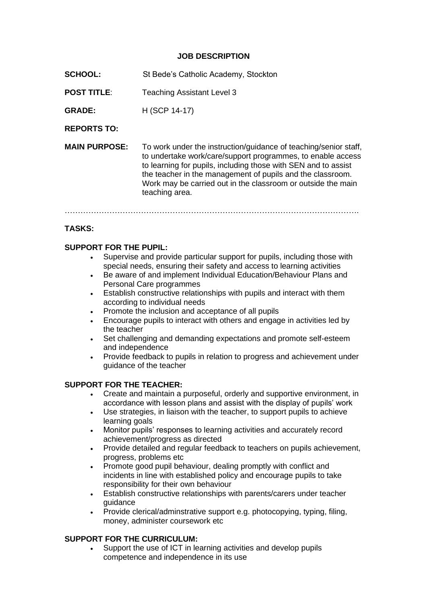#### **JOB DESCRIPTION**

- **SCHOOL:** St Bede's Catholic Academy, Stockton
- **POST TITLE:** Teaching Assistant Level 3

**GRADE:** H (SCP 14-17)

**REPORTS TO:**

**MAIN PURPOSE:** To work under the instruction/guidance of teaching/senior staff, to undertake work/care/support programmes, to enable access to learning for pupils, including those with SEN and to assist the teacher in the management of pupils and the classroom. Work may be carried out in the classroom or outside the main teaching area.

………………………………………………………………………………………………….

## **TASKS:**

### **SUPPORT FOR THE PUPIL:**

- Supervise and provide particular support for pupils, including those with special needs, ensuring their safety and access to learning activities
- Be aware of and implement Individual Education/Behaviour Plans and Personal Care programmes
- Establish constructive relationships with pupils and interact with them according to individual needs
- Promote the inclusion and acceptance of all pupils
- Encourage pupils to interact with others and engage in activities led by the teacher
- Set challenging and demanding expectations and promote self-esteem and independence
- Provide feedback to pupils in relation to progress and achievement under guidance of the teacher

### **SUPPORT FOR THE TEACHER:**

- Create and maintain a purposeful, orderly and supportive environment, in accordance with lesson plans and assist with the display of pupils' work
- Use strategies, in liaison with the teacher, to support pupils to achieve learning goals
- Monitor pupils' responses to learning activities and accurately record achievement/progress as directed
- Provide detailed and regular feedback to teachers on pupils achievement, progress, problems etc
- Promote good pupil behaviour, dealing promptly with conflict and incidents in line with established policy and encourage pupils to take responsibility for their own behaviour
- Establish constructive relationships with parents/carers under teacher guidance
- Provide clerical/adminstrative support e.g. photocopying, typing, filing, money, administer coursework etc

### **SUPPORT FOR THE CURRICULUM:**

Support the use of ICT in learning activities and develop pupils competence and independence in its use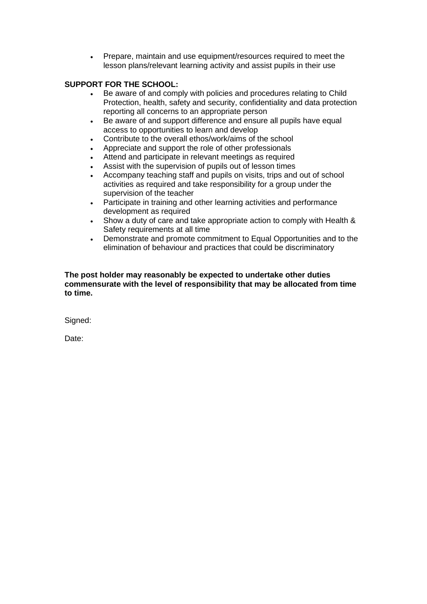• Prepare, maintain and use equipment/resources required to meet the lesson plans/relevant learning activity and assist pupils in their use

# **SUPPORT FOR THE SCHOOL:**

- Be aware of and comply with policies and procedures relating to Child Protection, health, safety and security, confidentiality and data protection reporting all concerns to an appropriate person
- Be aware of and support difference and ensure all pupils have equal access to opportunities to learn and develop
- Contribute to the overall ethos/work/aims of the school
- Appreciate and support the role of other professionals
- Attend and participate in relevant meetings as required
- Assist with the supervision of pupils out of lesson times
- Accompany teaching staff and pupils on visits, trips and out of school activities as required and take responsibility for a group under the supervision of the teacher
- Participate in training and other learning activities and performance development as required
- Show a duty of care and take appropriate action to comply with Health & Safety requirements at all time
- Demonstrate and promote commitment to Equal Opportunities and to the elimination of behaviour and practices that could be discriminatory

#### **The post holder may reasonably be expected to undertake other duties commensurate with the level of responsibility that may be allocated from time to time.**

Signed:

Date: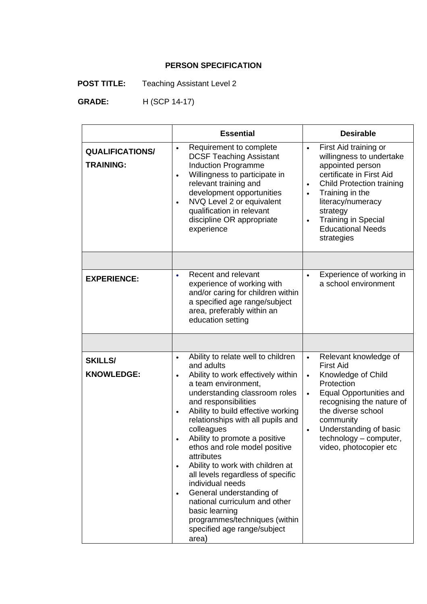# **PERSON SPECIFICATION**

**POST TITLE:** Teaching Assistant Level 2

 **GRADE:** H (SCP 14-17)

|                                            | <b>Essential</b>                                                                                                                                                                                                                                                                                                                                                                                                                                                                                                                                                                                                                                         | <b>Desirable</b>                                                                                                                                                                                                                                                                                         |
|--------------------------------------------|----------------------------------------------------------------------------------------------------------------------------------------------------------------------------------------------------------------------------------------------------------------------------------------------------------------------------------------------------------------------------------------------------------------------------------------------------------------------------------------------------------------------------------------------------------------------------------------------------------------------------------------------------------|----------------------------------------------------------------------------------------------------------------------------------------------------------------------------------------------------------------------------------------------------------------------------------------------------------|
| <b>QUALIFICATIONS/</b><br><b>TRAINING:</b> | Requirement to complete<br>$\bullet$<br><b>DCSF Teaching Assistant</b><br><b>Induction Programme</b><br>Willingness to participate in<br>$\bullet$<br>relevant training and<br>development opportunities<br>NVQ Level 2 or equivalent<br>qualification in relevant<br>discipline OR appropriate<br>experience                                                                                                                                                                                                                                                                                                                                            | First Aid training or<br>$\bullet$<br>willingness to undertake<br>appointed person<br>certificate in First Aid<br><b>Child Protection training</b><br>Training in the<br>$\bullet$<br>literacy/numeracy<br>strategy<br><b>Training in Special</b><br>$\bullet$<br><b>Educational Needs</b><br>strategies |
|                                            |                                                                                                                                                                                                                                                                                                                                                                                                                                                                                                                                                                                                                                                          |                                                                                                                                                                                                                                                                                                          |
| <b>EXPERIENCE:</b>                         | Recent and relevant<br>experience of working with<br>and/or caring for children within<br>a specified age range/subject<br>area, preferably within an<br>education setting                                                                                                                                                                                                                                                                                                                                                                                                                                                                               | Experience of working in<br>a school environment                                                                                                                                                                                                                                                         |
|                                            |                                                                                                                                                                                                                                                                                                                                                                                                                                                                                                                                                                                                                                                          |                                                                                                                                                                                                                                                                                                          |
| <b>SKILLS/</b><br><b>KNOWLEDGE:</b>        | Ability to relate well to children<br>$\bullet$<br>and adults<br>Ability to work effectively within<br>$\bullet$<br>a team environment,<br>understanding classroom roles<br>and responsibilities<br>Ability to build effective working<br>$\bullet$<br>relationships with all pupils and<br>colleagues<br>Ability to promote a positive<br>ethos and role model positive<br>attributes<br>Ability to work with children at<br>$\bullet$<br>all levels regardless of specific<br>individual needs<br>General understanding of<br>national curriculum and other<br>basic learning<br>programmes/techniques (within<br>specified age range/subject<br>area) | Relevant knowledge of<br>$\bullet$<br><b>First Aid</b><br>Knowledge of Child<br>$\bullet$<br>Protection<br><b>Equal Opportunities and</b><br>$\bullet$<br>recognising the nature of<br>the diverse school<br>community<br>Understanding of basic<br>technology - computer,<br>video, photocopier etc     |